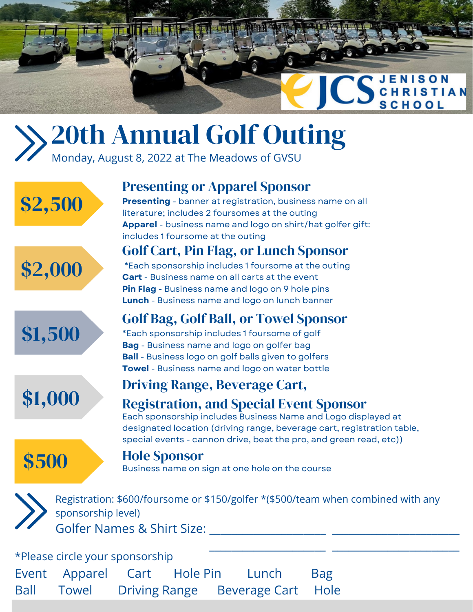

# 20th Annual Golf Outing

Monday, August 8, 2022 at The Meadows of GVSU









#### Presenting or Apparel Sponsor

**Presenting** - banner at registration, business name on all literature; includes 2 foursomes at the outing **Apparel** - business name and logo on shirt/hat golfer gift: includes 1 foursome at the outing

### Golf Cart, Pin Flag, or Lunch Sponsor

\*Each sponsorship includes 1 foursome at the outing **Cart** - Business name on all carts at the event **Pin Flag** - Business name and logo on 9 hole pins **Lunch** - Business name and logo on lunch banner

#### Golf Bag, Golf Ball, or Towel Sponsor

\*Each sponsorship includes 1 foursome of golf **Bag** - Business name and logo on golfer bag **Ball** - Business logo on golf balls given to golfers **Towel** - Business name and logo on water bottle

#### Driving Range, Beverage Cart, Registration, and Special Event Sponsor

Each sponsorship includes Business Name and Logo displayed at designated location (driving range, beverage cart, registration table, special events - cannon drive, beat the pro, and green read, etc))



#### Hole Sponsor

Business name on sign at one hole on the course



Registration: \$600/foursome or \$150/golfer \*(\$500/team when combined with any sponsorship level) Golfer Names & Shirt Size:

Event Apparel Cart Hole Pin Lunch Bag \*Please circle your sponsorship

Ball Towel Driving Range Beverage Cart Hole

\_\_\_\_\_\_\_\_\_\_\_\_\_\_\_\_\_\_\_\_\_ \_\_\_\_\_\_\_\_\_\_\_\_\_\_\_\_\_\_\_\_\_\_\_